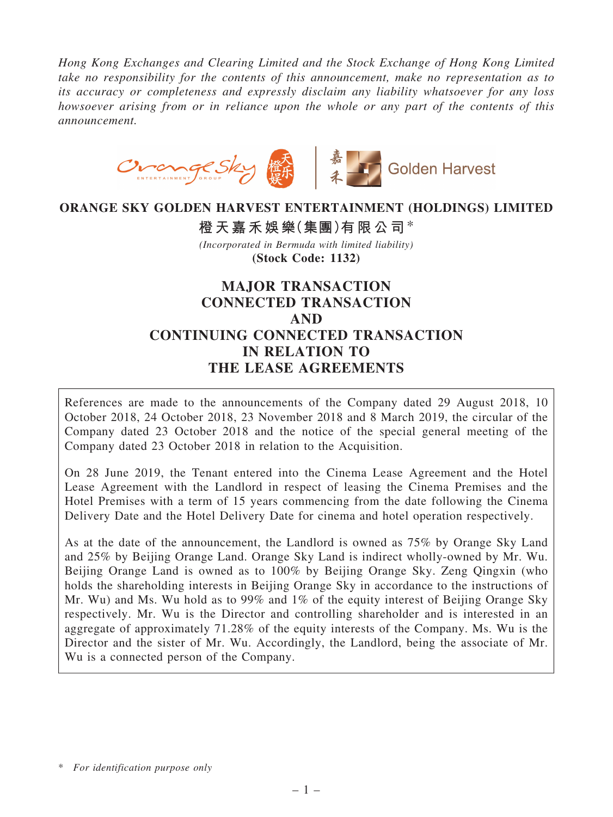*Hong Kong Exchanges and Clearing Limited and the Stock Exchange of Hong Kong Limited take no responsibility for the contents of this announcement, make no representation as to its accuracy or completeness and expressly disclaim any liability whatsoever for any loss howsoever arising from or in reliance upon the whole or any part of the contents of this announcement.*



#### ORANGE SKY GOLDEN HARVEST ENTERTAINMENT (HOLDINGS) LIMITED

橙天嘉禾娛樂(集團)有限公司\* *(Incorporated in Bermuda with limited liability)* (Stock Code: 1132)

# MAJOR TRANSACTION CONNECTED TRANSACTION AND CONTINUING CONNECTED TRANSACTION IN RELATION TO THE LEASE AGREEMENTS

References are made to the announcements of the Company dated 29 August 2018, 10 October 2018, 24 October 2018, 23 November 2018 and 8 March 2019, the circular of the Company dated 23 October 2018 and the notice of the special general meeting of the Company dated 23 October 2018 in relation to the Acquisition.

On 28 June 2019, the Tenant entered into the Cinema Lease Agreement and the Hotel Lease Agreement with the Landlord in respect of leasing the Cinema Premises and the Hotel Premises with a term of 15 years commencing from the date following the Cinema Delivery Date and the Hotel Delivery Date for cinema and hotel operation respectively.

As at the date of the announcement, the Landlord is owned as 75% by Orange Sky Land and 25% by Beijing Orange Land. Orange Sky Land is indirect wholly-owned by Mr. Wu. Beijing Orange Land is owned as to 100% by Beijing Orange Sky. Zeng Qingxin (who holds the shareholding interests in Beijing Orange Sky in accordance to the instructions of Mr. Wu) and Ms. Wu hold as to 99% and 1% of the equity interest of Beijing Orange Sky respectively. Mr. Wu is the Director and controlling shareholder and is interested in an aggregate of approximately 71.28% of the equity interests of the Company. Ms. Wu is the Director and the sister of Mr. Wu. Accordingly, the Landlord, being the associate of Mr. Wu is a connected person of the Company.

<sup>\*</sup> *For identification purpose only*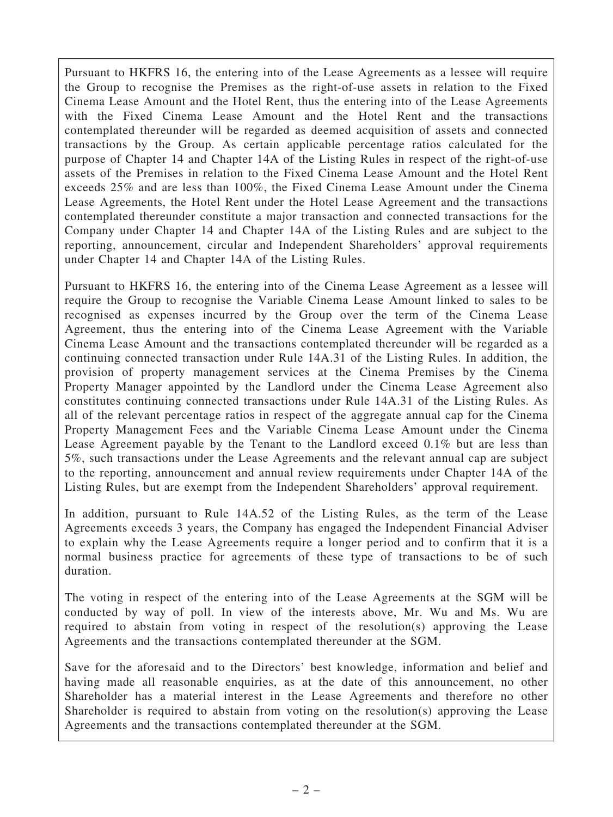Pursuant to HKFRS 16, the entering into of the Lease Agreements as a lessee will require the Group to recognise the Premises as the right-of-use assets in relation to the Fixed Cinema Lease Amount and the Hotel Rent, thus the entering into of the Lease Agreements with the Fixed Cinema Lease Amount and the Hotel Rent and the transactions contemplated thereunder will be regarded as deemed acquisition of assets and connected transactions by the Group. As certain applicable percentage ratios calculated for the purpose of Chapter 14 and Chapter 14A of the Listing Rules in respect of the right-of-use assets of the Premises in relation to the Fixed Cinema Lease Amount and the Hotel Rent exceeds 25% and are less than 100%, the Fixed Cinema Lease Amount under the Cinema Lease Agreements, the Hotel Rent under the Hotel Lease Agreement and the transactions contemplated thereunder constitute a major transaction and connected transactions for the Company under Chapter 14 and Chapter 14A of the Listing Rules and are subject to the reporting, announcement, circular and Independent Shareholders' approval requirements under Chapter 14 and Chapter 14A of the Listing Rules.

Pursuant to HKFRS 16, the entering into of the Cinema Lease Agreement as a lessee will require the Group to recognise the Variable Cinema Lease Amount linked to sales to be recognised as expenses incurred by the Group over the term of the Cinema Lease Agreement, thus the entering into of the Cinema Lease Agreement with the Variable Cinema Lease Amount and the transactions contemplated thereunder will be regarded as a continuing connected transaction under Rule 14A.31 of the Listing Rules. In addition, the provision of property management services at the Cinema Premises by the Cinema Property Manager appointed by the Landlord under the Cinema Lease Agreement also constitutes continuing connected transactions under Rule 14A.31 of the Listing Rules. As all of the relevant percentage ratios in respect of the aggregate annual cap for the Cinema Property Management Fees and the Variable Cinema Lease Amount under the Cinema Lease Agreement payable by the Tenant to the Landlord exceed 0.1% but are less than 5%, such transactions under the Lease Agreements and the relevant annual cap are subject to the reporting, announcement and annual review requirements under Chapter 14A of the Listing Rules, but are exempt from the Independent Shareholders' approval requirement.

In addition, pursuant to Rule 14A.52 of the Listing Rules, as the term of the Lease Agreements exceeds 3 years, the Company has engaged the Independent Financial Adviser to explain why the Lease Agreements require a longer period and to confirm that it is a normal business practice for agreements of these type of transactions to be of such duration.

The voting in respect of the entering into of the Lease Agreements at the SGM will be conducted by way of poll. In view of the interests above, Mr. Wu and Ms. Wu are required to abstain from voting in respect of the resolution(s) approving the Lease Agreements and the transactions contemplated thereunder at the SGM.

Save for the aforesaid and to the Directors' best knowledge, information and belief and having made all reasonable enquiries, as at the date of this announcement, no other Shareholder has a material interest in the Lease Agreements and therefore no other Shareholder is required to abstain from voting on the resolution(s) approving the Lease Agreements and the transactions contemplated thereunder at the SGM.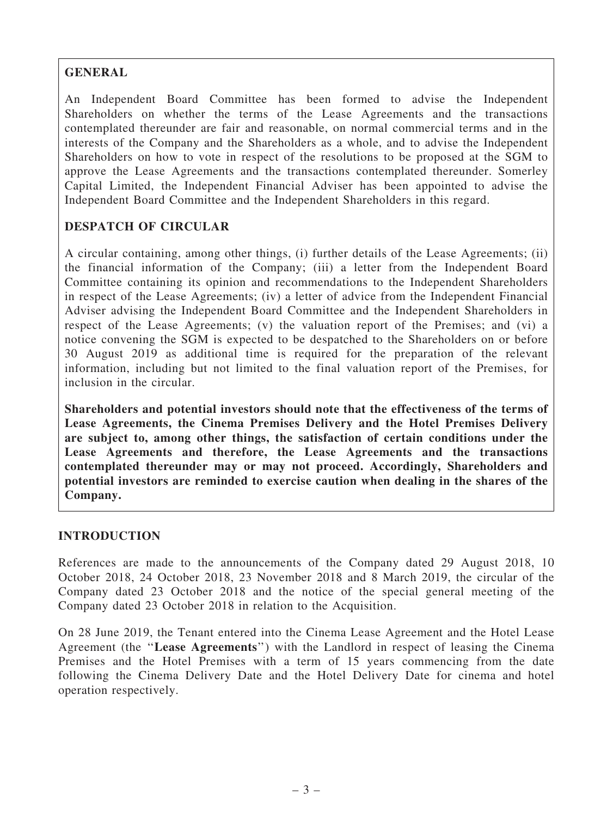## GENERAL

An Independent Board Committee has been formed to advise the Independent Shareholders on whether the terms of the Lease Agreements and the transactions contemplated thereunder are fair and reasonable, on normal commercial terms and in the interests of the Company and the Shareholders as a whole, and to advise the Independent Shareholders on how to vote in respect of the resolutions to be proposed at the SGM to approve the Lease Agreements and the transactions contemplated thereunder. Somerley Capital Limited, the Independent Financial Adviser has been appointed to advise the Independent Board Committee and the Independent Shareholders in this regard.

## DESPATCH OF CIRCULAR

A circular containing, among other things, (i) further details of the Lease Agreements; (ii) the financial information of the Company; (iii) a letter from the Independent Board Committee containing its opinion and recommendations to the Independent Shareholders in respect of the Lease Agreements; (iv) a letter of advice from the Independent Financial Adviser advising the Independent Board Committee and the Independent Shareholders in respect of the Lease Agreements; (v) the valuation report of the Premises; and (vi) a notice convening the SGM is expected to be despatched to the Shareholders on or before 30 August 2019 as additional time is required for the preparation of the relevant information, including but not limited to the final valuation report of the Premises, for inclusion in the circular.

Shareholders and potential investors should note that the effectiveness of the terms of Lease Agreements, the Cinema Premises Delivery and the Hotel Premises Delivery are subject to, among other things, the satisfaction of certain conditions under the Lease Agreements and therefore, the Lease Agreements and the transactions contemplated thereunder may or may not proceed. Accordingly, Shareholders and potential investors are reminded to exercise caution when dealing in the shares of the Company.

## INTRODUCTION

References are made to the announcements of the Company dated 29 August 2018, 10 October 2018, 24 October 2018, 23 November 2018 and 8 March 2019, the circular of the Company dated 23 October 2018 and the notice of the special general meeting of the Company dated 23 October 2018 in relation to the Acquisition.

On 28 June 2019, the Tenant entered into the Cinema Lease Agreement and the Hotel Lease Agreement (the ''Lease Agreements'') with the Landlord in respect of leasing the Cinema Premises and the Hotel Premises with a term of 15 years commencing from the date following the Cinema Delivery Date and the Hotel Delivery Date for cinema and hotel operation respectively.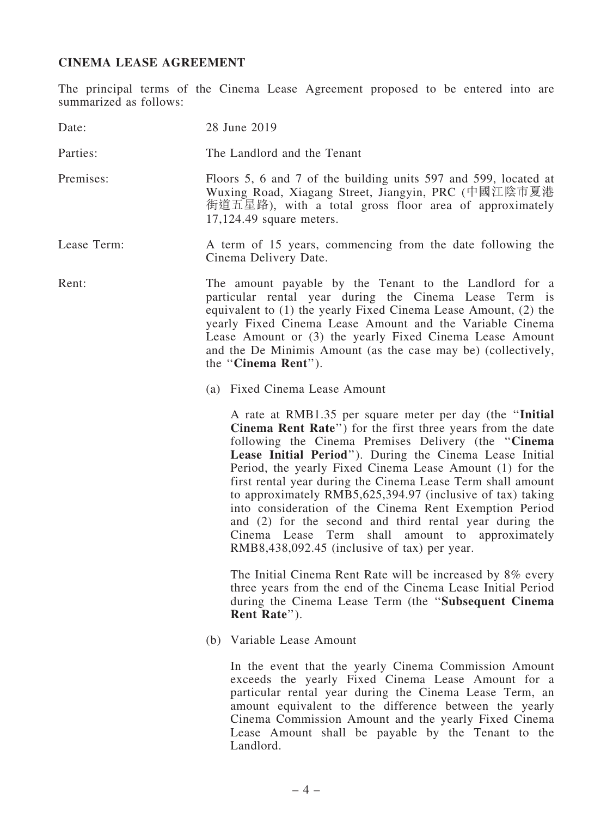## CINEMA LEASE AGREEMENT

The principal terms of the Cinema Lease Agreement proposed to be entered into are summarized as follows:

| Date:       | 28 June 2019                                                                                                                                                                                                                                                                                                                                                                                                                                                                                                                                                                                                                                               |
|-------------|------------------------------------------------------------------------------------------------------------------------------------------------------------------------------------------------------------------------------------------------------------------------------------------------------------------------------------------------------------------------------------------------------------------------------------------------------------------------------------------------------------------------------------------------------------------------------------------------------------------------------------------------------------|
| Parties:    | The Landlord and the Tenant                                                                                                                                                                                                                                                                                                                                                                                                                                                                                                                                                                                                                                |
| Premises:   | Floors 5, 6 and 7 of the building units 597 and 599, located at<br>Wuxing Road, Xiagang Street, Jiangyin, PRC (中國江陰市夏港<br>街道五星路), with a total gross floor area of approximately<br>17,124.49 square meters.                                                                                                                                                                                                                                                                                                                                                                                                                                               |
| Lease Term: | A term of 15 years, commencing from the date following the<br>Cinema Delivery Date.                                                                                                                                                                                                                                                                                                                                                                                                                                                                                                                                                                        |
| Rent:       | The amount payable by the Tenant to the Landlord for a<br>particular rental year during the Cinema Lease Term is<br>equivalent to (1) the yearly Fixed Cinema Lease Amount, (2) the<br>yearly Fixed Cinema Lease Amount and the Variable Cinema<br>Lease Amount or (3) the yearly Fixed Cinema Lease Amount<br>and the De Minimis Amount (as the case may be) (collectively,<br>the "Cinema Rent").                                                                                                                                                                                                                                                        |
|             | (a) Fixed Cinema Lease Amount                                                                                                                                                                                                                                                                                                                                                                                                                                                                                                                                                                                                                              |
|             | A rate at RMB1.35 per square meter per day (the "Initial<br>Cinema Rent Rate") for the first three years from the date<br>following the Cinema Premises Delivery (the "Cinema"<br>Lease Initial Period"). During the Cinema Lease Initial<br>Period, the yearly Fixed Cinema Lease Amount (1) for the<br>first rental year during the Cinema Lease Term shall amount<br>to approximately RMB5,625,394.97 (inclusive of tax) taking<br>into consideration of the Cinema Rent Exemption Period<br>and (2) for the second and third rental year during the<br>Cinema Lease Term shall amount to approximately<br>RMB8,438,092.45 (inclusive of tax) per year. |
|             | The Initial Cinema Rent Rate will be increased by 8% every<br>three years from the end of the Cinema Lease Initial Period<br>during the Cinema Lease Term (the "Subsequent Cinema<br>Rent Rate").                                                                                                                                                                                                                                                                                                                                                                                                                                                          |
|             | (b) Variable Lease Amount                                                                                                                                                                                                                                                                                                                                                                                                                                                                                                                                                                                                                                  |
|             | In the event that the yearly Cinema Commission Amount<br>exceeds the yearly Fixed Cinema Lease Amount for a<br>particular rental year during the Cinema Lease Term, an<br>amount equivalent to the difference between the yearly<br>Cinema Commission Amount and the yearly Fixed Cinema<br>Lease Amount shall be payable by the Tenant to the<br>Landlord.                                                                                                                                                                                                                                                                                                |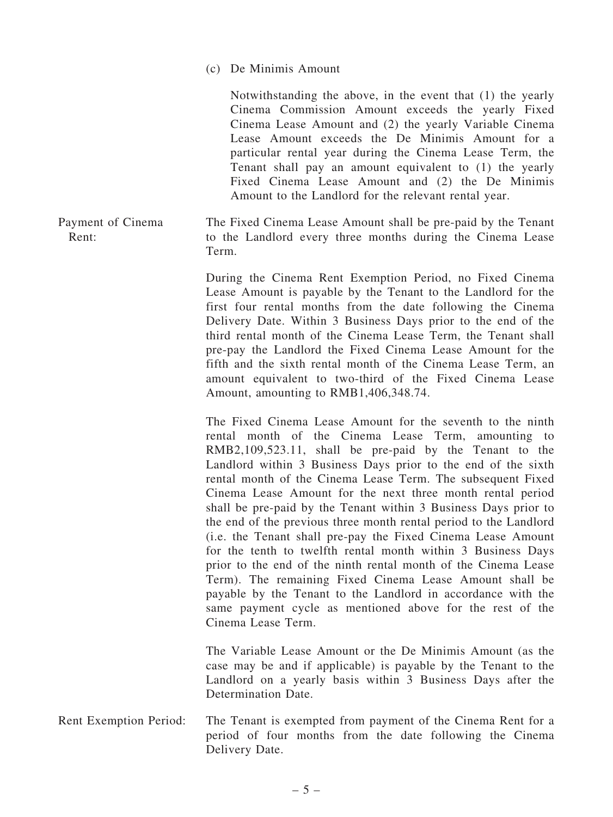(c) De Minimis Amount

Notwithstanding the above, in the event that (1) the yearly Cinema Commission Amount exceeds the yearly Fixed Cinema Lease Amount and (2) the yearly Variable Cinema Lease Amount exceeds the De Minimis Amount for a particular rental year during the Cinema Lease Term, the Tenant shall pay an amount equivalent to (1) the yearly Fixed Cinema Lease Amount and (2) the De Minimis Amount to the Landlord for the relevant rental year.

Payment of Cinema Rent: The Fixed Cinema Lease Amount shall be pre-paid by the Tenant to the Landlord every three months during the Cinema Lease Term.

> During the Cinema Rent Exemption Period, no Fixed Cinema Lease Amount is payable by the Tenant to the Landlord for the first four rental months from the date following the Cinema Delivery Date. Within 3 Business Days prior to the end of the third rental month of the Cinema Lease Term, the Tenant shall pre-pay the Landlord the Fixed Cinema Lease Amount for the fifth and the sixth rental month of the Cinema Lease Term, an amount equivalent to two-third of the Fixed Cinema Lease Amount, amounting to RMB1,406,348.74.

> The Fixed Cinema Lease Amount for the seventh to the ninth rental month of the Cinema Lease Term, amounting to RMB2,109,523.11, shall be pre-paid by the Tenant to the Landlord within 3 Business Days prior to the end of the sixth rental month of the Cinema Lease Term. The subsequent Fixed Cinema Lease Amount for the next three month rental period shall be pre-paid by the Tenant within 3 Business Days prior to the end of the previous three month rental period to the Landlord (i.e. the Tenant shall pre-pay the Fixed Cinema Lease Amount for the tenth to twelfth rental month within 3 Business Days prior to the end of the ninth rental month of the Cinema Lease Term). The remaining Fixed Cinema Lease Amount shall be payable by the Tenant to the Landlord in accordance with the same payment cycle as mentioned above for the rest of the Cinema Lease Term.

> The Variable Lease Amount or the De Minimis Amount (as the case may be and if applicable) is payable by the Tenant to the Landlord on a yearly basis within 3 Business Days after the Determination Date.

Rent Exemption Period: The Tenant is exempted from payment of the Cinema Rent for a period of four months from the date following the Cinema Delivery Date.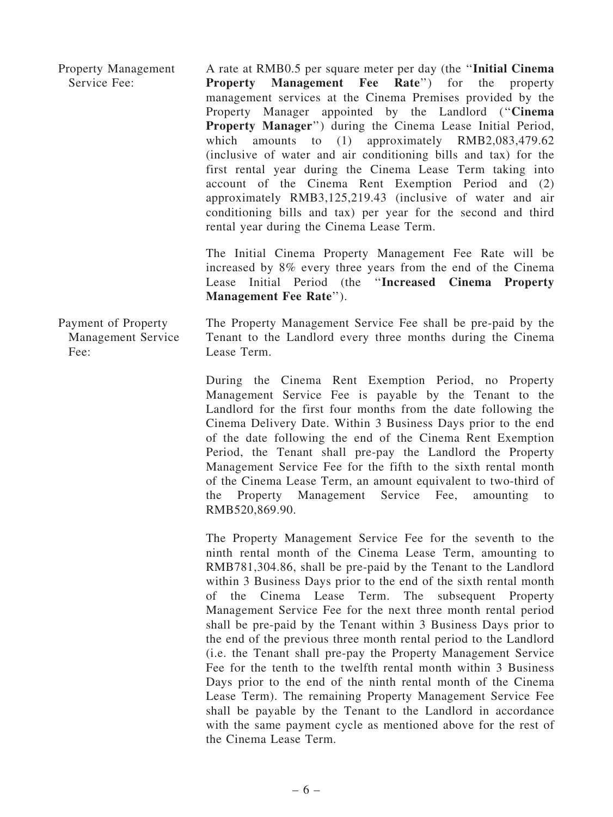Property Management Service Fee: A rate at RMB0.5 per square meter per day (the ''Initial Cinema Property Management Fee Rate'') for the property management services at the Cinema Premises provided by the Property Manager appointed by the Landlord ("Cinema" Property Manager'') during the Cinema Lease Initial Period, which amounts to (1) approximately RMB2,083,479.62 (inclusive of water and air conditioning bills and tax) for the first rental year during the Cinema Lease Term taking into account of the Cinema Rent Exemption Period and (2) approximately RMB3,125,219.43 (inclusive of water and air conditioning bills and tax) per year for the second and third rental year during the Cinema Lease Term.

> The Initial Cinema Property Management Fee Rate will be increased by 8% every three years from the end of the Cinema Lease Initial Period (the ''Increased Cinema Property Management Fee Rate'').

Payment of Property Management Service Fee: The Property Management Service Fee shall be pre-paid by the Tenant to the Landlord every three months during the Cinema Lease Term.

> During the Cinema Rent Exemption Period, no Property Management Service Fee is payable by the Tenant to the Landlord for the first four months from the date following the Cinema Delivery Date. Within 3 Business Days prior to the end of the date following the end of the Cinema Rent Exemption Period, the Tenant shall pre-pay the Landlord the Property Management Service Fee for the fifth to the sixth rental month of the Cinema Lease Term, an amount equivalent to two-third of the Property Management Service Fee, amounting to RMB520,869.90.

> The Property Management Service Fee for the seventh to the ninth rental month of the Cinema Lease Term, amounting to RMB781,304.86, shall be pre-paid by the Tenant to the Landlord within 3 Business Days prior to the end of the sixth rental month of the Cinema Lease Term. The subsequent Property Management Service Fee for the next three month rental period shall be pre-paid by the Tenant within 3 Business Days prior to the end of the previous three month rental period to the Landlord (i.e. the Tenant shall pre-pay the Property Management Service Fee for the tenth to the twelfth rental month within 3 Business Days prior to the end of the ninth rental month of the Cinema Lease Term). The remaining Property Management Service Fee shall be payable by the Tenant to the Landlord in accordance with the same payment cycle as mentioned above for the rest of the Cinema Lease Term.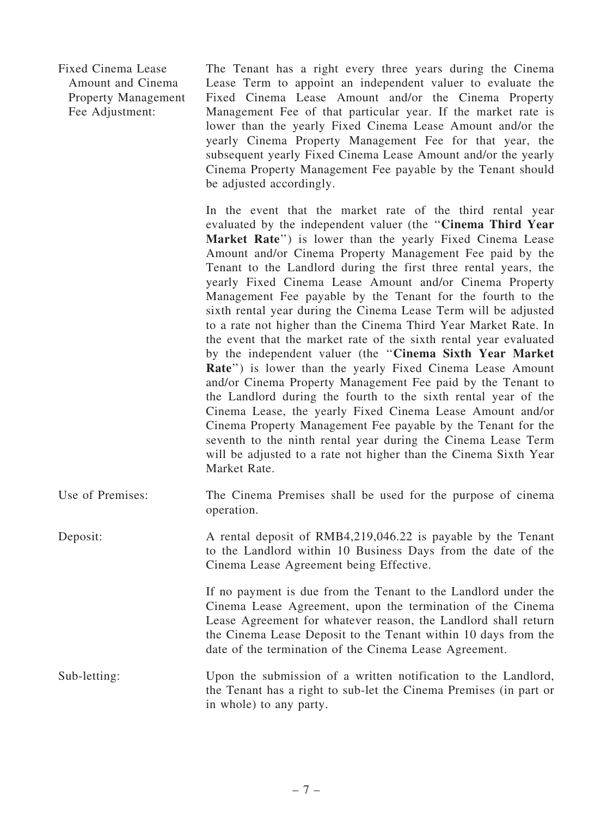Fixed Cinema Lease Amount and Cinema Property Management Fee Adjustment:

The Tenant has a right every three years during the Cinema Lease Term to appoint an independent valuer to evaluate the Fixed Cinema Lease Amount and/or the Cinema Property Management Fee of that particular year. If the market rate is lower than the yearly Fixed Cinema Lease Amount and/or the yearly Cinema Property Management Fee for that year, the subsequent yearly Fixed Cinema Lease Amount and/or the yearly Cinema Property Management Fee payable by the Tenant should be adjusted accordingly.

In the event that the market rate of the third rental year evaluated by the independent valuer (the ''Cinema Third Year Market Rate") is lower than the yearly Fixed Cinema Lease Amount and/or Cinema Property Management Fee paid by the Tenant to the Landlord during the first three rental years, the yearly Fixed Cinema Lease Amount and/or Cinema Property Management Fee payable by the Tenant for the fourth to the sixth rental year during the Cinema Lease Term will be adjusted to a rate not higher than the Cinema Third Year Market Rate. In the event that the market rate of the sixth rental year evaluated by the independent valuer (the ''Cinema Sixth Year Market Rate'') is lower than the yearly Fixed Cinema Lease Amount and/or Cinema Property Management Fee paid by the Tenant to the Landlord during the fourth to the sixth rental year of the Cinema Lease, the yearly Fixed Cinema Lease Amount and/or Cinema Property Management Fee payable by the Tenant for the seventh to the ninth rental year during the Cinema Lease Term will be adjusted to a rate not higher than the Cinema Sixth Year Market Rate.

Use of Premises: The Cinema Premises shall be used for the purpose of cinema operation.

Deposit: A rental deposit of RMB4,219,046.22 is payable by the Tenant to the Landlord within 10 Business Days from the date of the Cinema Lease Agreement being Effective.

> If no payment is due from the Tenant to the Landlord under the Cinema Lease Agreement, upon the termination of the Cinema Lease Agreement for whatever reason, the Landlord shall return the Cinema Lease Deposit to the Tenant within 10 days from the date of the termination of the Cinema Lease Agreement.

Sub-letting: Upon the submission of a written notification to the Landlord, the Tenant has a right to sub-let the Cinema Premises (in part or in whole) to any party.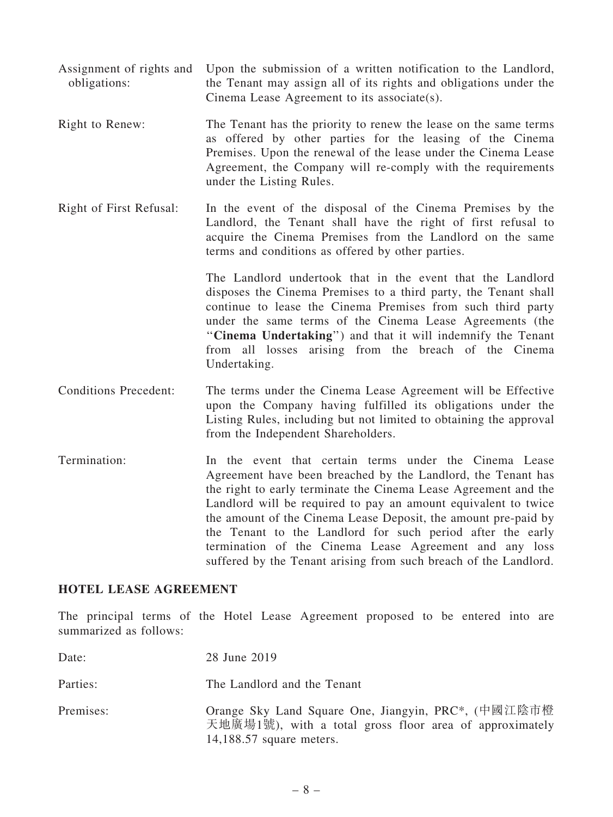- Assignment of rights and obligations: Upon the submission of a written notification to the Landlord, the Tenant may assign all of its rights and obligations under the Cinema Lease Agreement to its associate(s).
- Right to Renew: The Tenant has the priority to renew the lease on the same terms as offered by other parties for the leasing of the Cinema Premises. Upon the renewal of the lease under the Cinema Lease Agreement, the Company will re-comply with the requirements under the Listing Rules.
- Right of First Refusal: In the event of the disposal of the Cinema Premises by the Landlord, the Tenant shall have the right of first refusal to acquire the Cinema Premises from the Landlord on the same terms and conditions as offered by other parties.

The Landlord undertook that in the event that the Landlord disposes the Cinema Premises to a third party, the Tenant shall continue to lease the Cinema Premises from such third party under the same terms of the Cinema Lease Agreements (the "Cinema Undertaking") and that it will indemnify the Tenant from all losses arising from the breach of the Cinema Undertaking.

- Conditions Precedent: The terms under the Cinema Lease Agreement will be Effective upon the Company having fulfilled its obligations under the Listing Rules, including but not limited to obtaining the approval from the Independent Shareholders.
- Termination: In the event that certain terms under the Cinema Lease Agreement have been breached by the Landlord, the Tenant has the right to early terminate the Cinema Lease Agreement and the Landlord will be required to pay an amount equivalent to twice the amount of the Cinema Lease Deposit, the amount pre-paid by the Tenant to the Landlord for such period after the early termination of the Cinema Lease Agreement and any loss suffered by the Tenant arising from such breach of the Landlord.

#### HOTEL LEASE AGREEMENT

The principal terms of the Hotel Lease Agreement proposed to be entered into are summarized as follows:

| Date:     | 28 June 2019                                                                                                                                 |
|-----------|----------------------------------------------------------------------------------------------------------------------------------------------|
| Parties:  | The Landlord and the Tenant                                                                                                                  |
| Premises: | Orange Sky Land Square One, Jiangyin, PRC*, (中國江陰市橙<br>天地廣場1號), with a total gross floor area of approximately<br>$14,188.57$ square meters. |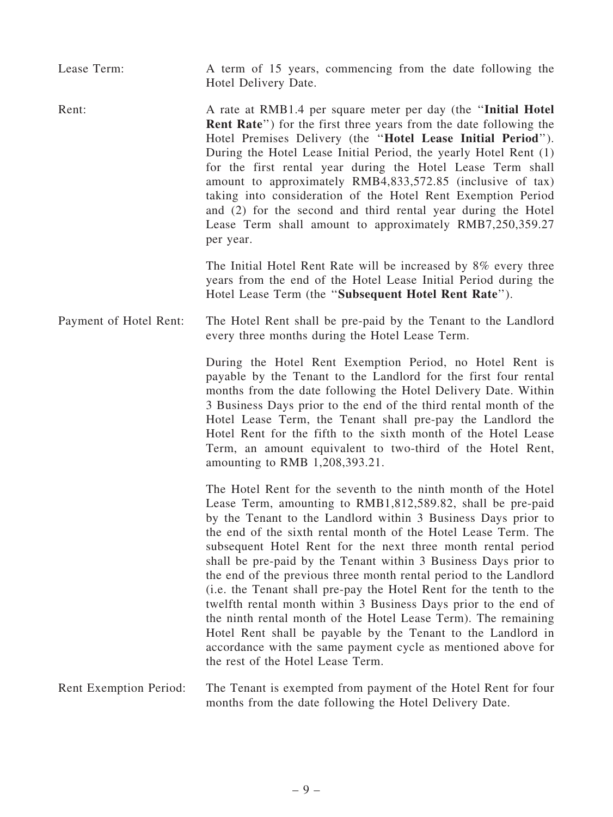Lease Term: A term of 15 years, commencing from the date following the Hotel Delivery Date.

Rent: A rate at RMB1.4 per square meter per day (the "Initial Hotel" Rent Rate'') for the first three years from the date following the Hotel Premises Delivery (the ''Hotel Lease Initial Period''). During the Hotel Lease Initial Period, the yearly Hotel Rent (1) for the first rental year during the Hotel Lease Term shall amount to approximately RMB4,833,572.85 (inclusive of tax) taking into consideration of the Hotel Rent Exemption Period and (2) for the second and third rental year during the Hotel Lease Term shall amount to approximately RMB7,250,359.27 per year.

> The Initial Hotel Rent Rate will be increased by 8% every three years from the end of the Hotel Lease Initial Period during the Hotel Lease Term (the ''Subsequent Hotel Rent Rate'').

Payment of Hotel Rent: The Hotel Rent shall be pre-paid by the Tenant to the Landlord every three months during the Hotel Lease Term.

> During the Hotel Rent Exemption Period, no Hotel Rent is payable by the Tenant to the Landlord for the first four rental months from the date following the Hotel Delivery Date. Within 3 Business Days prior to the end of the third rental month of the Hotel Lease Term, the Tenant shall pre-pay the Landlord the Hotel Rent for the fifth to the sixth month of the Hotel Lease Term, an amount equivalent to two-third of the Hotel Rent, amounting to RMB 1,208,393.21.

The Hotel Rent for the seventh to the ninth month of the Hotel Lease Term, amounting to RMB1,812,589.82, shall be pre-paid by the Tenant to the Landlord within 3 Business Days prior to the end of the sixth rental month of the Hotel Lease Term. The subsequent Hotel Rent for the next three month rental period shall be pre-paid by the Tenant within 3 Business Days prior to the end of the previous three month rental period to the Landlord (i.e. the Tenant shall pre-pay the Hotel Rent for the tenth to the twelfth rental month within 3 Business Days prior to the end of the ninth rental month of the Hotel Lease Term). The remaining Hotel Rent shall be payable by the Tenant to the Landlord in accordance with the same payment cycle as mentioned above for the rest of the Hotel Lease Term.

Rent Exemption Period: The Tenant is exempted from payment of the Hotel Rent for four months from the date following the Hotel Delivery Date.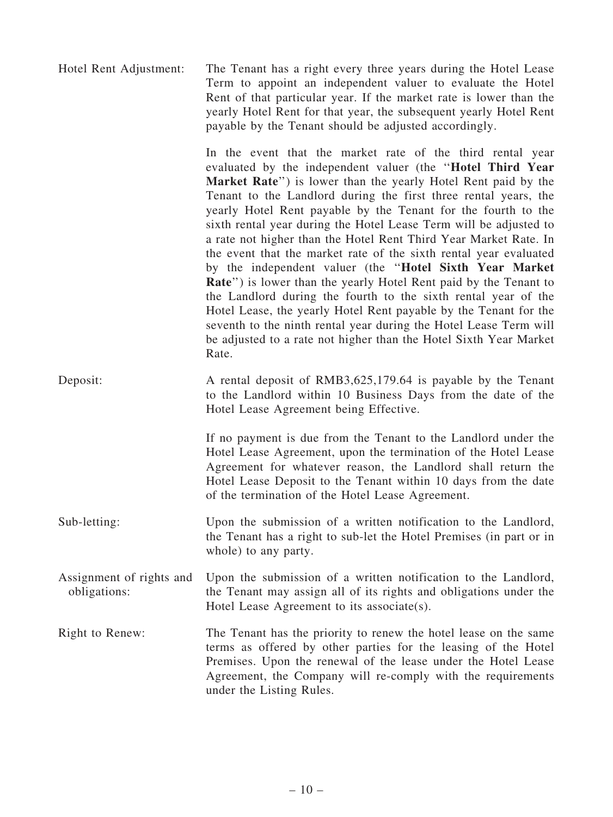Hotel Rent Adjustment: The Tenant has a right every three years during the Hotel Lease Term to appoint an independent valuer to evaluate the Hotel Rent of that particular year. If the market rate is lower than the yearly Hotel Rent for that year, the subsequent yearly Hotel Rent payable by the Tenant should be adjusted accordingly.

> In the event that the market rate of the third rental year evaluated by the independent valuer (the ''Hotel Third Year Market Rate") is lower than the yearly Hotel Rent paid by the Tenant to the Landlord during the first three rental years, the yearly Hotel Rent payable by the Tenant for the fourth to the sixth rental year during the Hotel Lease Term will be adjusted to a rate not higher than the Hotel Rent Third Year Market Rate. In the event that the market rate of the sixth rental year evaluated by the independent valuer (the ''Hotel Sixth Year Market Rate") is lower than the yearly Hotel Rent paid by the Tenant to the Landlord during the fourth to the sixth rental year of the Hotel Lease, the yearly Hotel Rent payable by the Tenant for the seventh to the ninth rental year during the Hotel Lease Term will be adjusted to a rate not higher than the Hotel Sixth Year Market Rate.

Deposit: A rental deposit of RMB3,625,179.64 is payable by the Tenant to the Landlord within 10 Business Days from the date of the Hotel Lease Agreement being Effective.

> If no payment is due from the Tenant to the Landlord under the Hotel Lease Agreement, upon the termination of the Hotel Lease Agreement for whatever reason, the Landlord shall return the Hotel Lease Deposit to the Tenant within 10 days from the date of the termination of the Hotel Lease Agreement.

- Sub-letting: Upon the submission of a written notification to the Landlord, the Tenant has a right to sub-let the Hotel Premises (in part or in whole) to any party.
- Assignment of rights and obligations: Upon the submission of a written notification to the Landlord, the Tenant may assign all of its rights and obligations under the Hotel Lease Agreement to its associate(s).
- Right to Renew: The Tenant has the priority to renew the hotel lease on the same terms as offered by other parties for the leasing of the Hotel Premises. Upon the renewal of the lease under the Hotel Lease Agreement, the Company will re-comply with the requirements under the Listing Rules.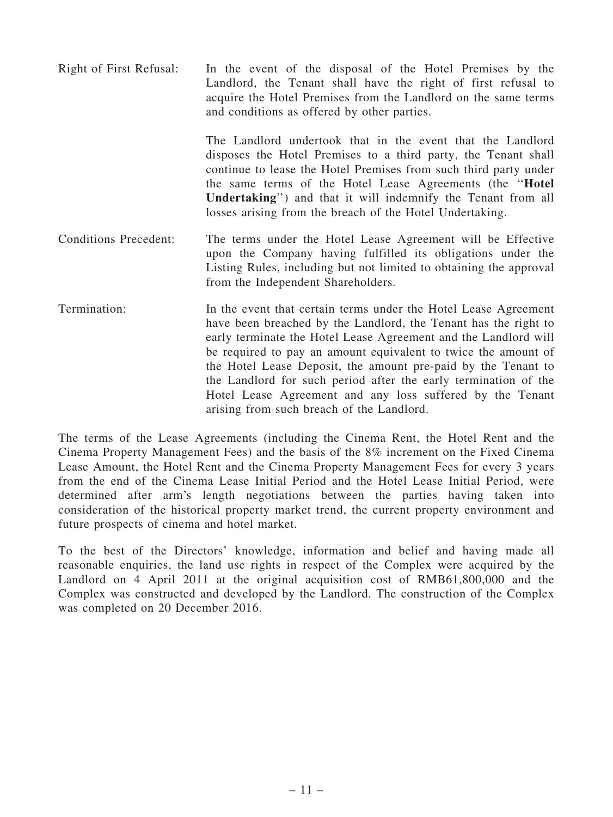Right of First Refusal: In the event of the disposal of the Hotel Premises by the Landlord, the Tenant shall have the right of first refusal to acquire the Hotel Premises from the Landlord on the same terms and conditions as offered by other parties.

The Landlord undertook that in the event that the Landlord disposes the Hotel Premises to a third party, the Tenant shall continue to lease the Hotel Premises from such third party under the same terms of the Hotel Lease Agreements (the ''Hotel Undertaking'') and that it will indemnify the Tenant from all losses arising from the breach of the Hotel Undertaking.

- Conditions Precedent: The terms under the Hotel Lease Agreement will be Effective upon the Company having fulfilled its obligations under the Listing Rules, including but not limited to obtaining the approval from the Independent Shareholders.
- Termination: In the event that certain terms under the Hotel Lease Agreement have been breached by the Landlord, the Tenant has the right to early terminate the Hotel Lease Agreement and the Landlord will be required to pay an amount equivalent to twice the amount of the Hotel Lease Deposit, the amount pre-paid by the Tenant to the Landlord for such period after the early termination of the Hotel Lease Agreement and any loss suffered by the Tenant arising from such breach of the Landlord.

The terms of the Lease Agreements (including the Cinema Rent, the Hotel Rent and the Cinema Property Management Fees) and the basis of the 8% increment on the Fixed Cinema Lease Amount, the Hotel Rent and the Cinema Property Management Fees for every 3 years from the end of the Cinema Lease Initial Period and the Hotel Lease Initial Period, were determined after arm's length negotiations between the parties having taken into consideration of the historical property market trend, the current property environment and future prospects of cinema and hotel market.

To the best of the Directors' knowledge, information and belief and having made all reasonable enquiries, the land use rights in respect of the Complex were acquired by the Landlord on 4 April 2011 at the original acquisition cost of RMB61,800,000 and the Complex was constructed and developed by the Landlord. The construction of the Complex was completed on 20 December 2016.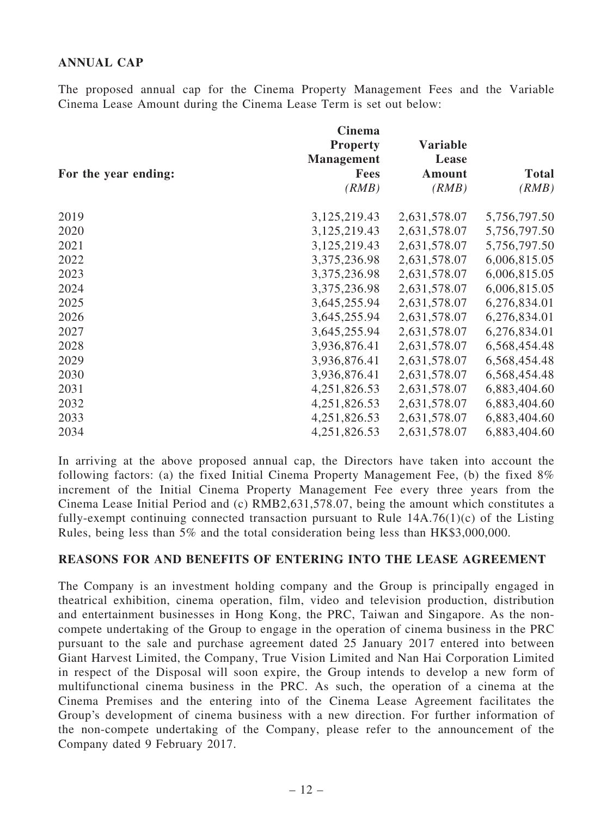## ANNUAL CAP

The proposed annual cap for the Cinema Property Management Fees and the Variable Cinema Lease Amount during the Cinema Lease Term is set out below:

|                      | Cinema<br><b>Property</b><br><b>Management</b> | <b>Variable</b><br>Lease |              |
|----------------------|------------------------------------------------|--------------------------|--------------|
| For the year ending: | <b>Fees</b>                                    | Amount                   | <b>Total</b> |
|                      | (RMB)                                          | (RMB)                    | (RMB)        |
| 2019                 | 3,125,219.43                                   | 2,631,578.07             | 5,756,797.50 |
| 2020                 | 3,125,219.43                                   | 2,631,578.07             | 5,756,797.50 |
| 2021                 | 3,125,219.43                                   | 2,631,578.07             | 5,756,797.50 |
| 2022                 | 3,375,236.98                                   | 2,631,578.07             | 6,006,815.05 |
| 2023                 | 3,375,236.98                                   | 2,631,578.07             | 6,006,815.05 |
| 2024                 | 3, 375, 236. 98                                | 2,631,578.07             | 6,006,815.05 |
| 2025                 | 3,645,255.94                                   | 2,631,578.07             | 6,276,834.01 |
| 2026                 | 3,645,255.94                                   | 2,631,578.07             | 6,276,834.01 |
| 2027                 | 3,645,255.94                                   | 2,631,578.07             | 6,276,834.01 |
| 2028                 | 3,936,876.41                                   | 2,631,578.07             | 6,568,454.48 |
| 2029                 | 3,936,876.41                                   | 2,631,578.07             | 6,568,454.48 |
| 2030                 | 3,936,876.41                                   | 2,631,578.07             | 6,568,454.48 |
| 2031                 | 4,251,826.53                                   | 2,631,578.07             | 6,883,404.60 |
| 2032                 | 4,251,826.53                                   | 2,631,578.07             | 6,883,404.60 |
| 2033                 | 4,251,826.53                                   | 2,631,578.07             | 6,883,404.60 |
| 2034                 | 4,251,826.53                                   | 2,631,578.07             | 6,883,404.60 |

In arriving at the above proposed annual cap, the Directors have taken into account the following factors: (a) the fixed Initial Cinema Property Management Fee, (b) the fixed 8% increment of the Initial Cinema Property Management Fee every three years from the Cinema Lease Initial Period and (c) RMB2,631,578.07, being the amount which constitutes a fully-exempt continuing connected transaction pursuant to Rule  $14A.76(1)(c)$  of the Listing Rules, being less than 5% and the total consideration being less than HK\$3,000,000.

#### REASONS FOR AND BENEFITS OF ENTERING INTO THE LEASE AGREEMENT

The Company is an investment holding company and the Group is principally engaged in theatrical exhibition, cinema operation, film, video and television production, distribution and entertainment businesses in Hong Kong, the PRC, Taiwan and Singapore. As the noncompete undertaking of the Group to engage in the operation of cinema business in the PRC pursuant to the sale and purchase agreement dated 25 January 2017 entered into between Giant Harvest Limited, the Company, True Vision Limited and Nan Hai Corporation Limited in respect of the Disposal will soon expire, the Group intends to develop a new form of multifunctional cinema business in the PRC. As such, the operation of a cinema at the Cinema Premises and the entering into of the Cinema Lease Agreement facilitates the Group's development of cinema business with a new direction. For further information of the non-compete undertaking of the Company, please refer to the announcement of the Company dated 9 February 2017.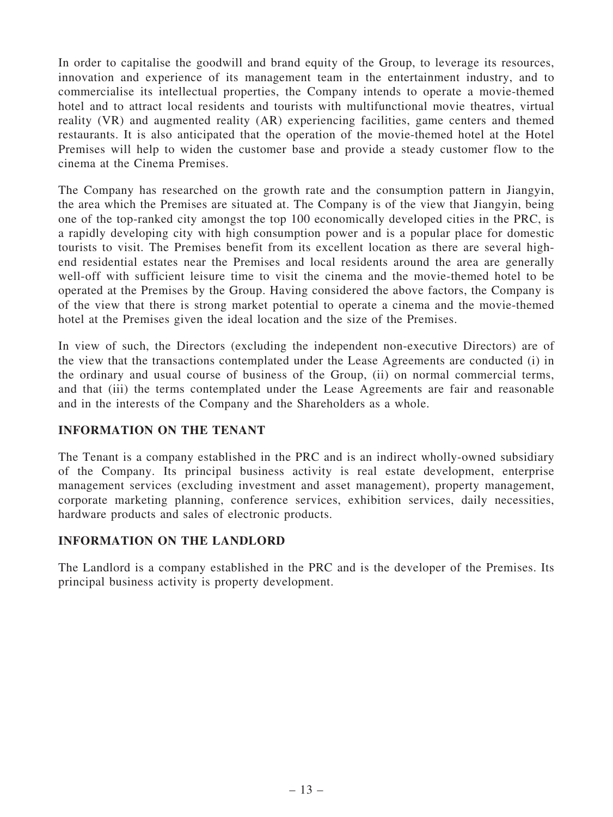In order to capitalise the goodwill and brand equity of the Group, to leverage its resources, innovation and experience of its management team in the entertainment industry, and to commercialise its intellectual properties, the Company intends to operate a movie-themed hotel and to attract local residents and tourists with multifunctional movie theatres, virtual reality (VR) and augmented reality (AR) experiencing facilities, game centers and themed restaurants. It is also anticipated that the operation of the movie-themed hotel at the Hotel Premises will help to widen the customer base and provide a steady customer flow to the cinema at the Cinema Premises.

The Company has researched on the growth rate and the consumption pattern in Jiangyin, the area which the Premises are situated at. The Company is of the view that Jiangyin, being one of the top-ranked city amongst the top 100 economically developed cities in the PRC, is a rapidly developing city with high consumption power and is a popular place for domestic tourists to visit. The Premises benefit from its excellent location as there are several highend residential estates near the Premises and local residents around the area are generally well-off with sufficient leisure time to visit the cinema and the movie-themed hotel to be operated at the Premises by the Group. Having considered the above factors, the Company is of the view that there is strong market potential to operate a cinema and the movie-themed hotel at the Premises given the ideal location and the size of the Premises.

In view of such, the Directors (excluding the independent non-executive Directors) are of the view that the transactions contemplated under the Lease Agreements are conducted (i) in the ordinary and usual course of business of the Group, (ii) on normal commercial terms, and that (iii) the terms contemplated under the Lease Agreements are fair and reasonable and in the interests of the Company and the Shareholders as a whole.

## INFORMATION ON THE TENANT

The Tenant is a company established in the PRC and is an indirect wholly-owned subsidiary of the Company. Its principal business activity is real estate development, enterprise management services (excluding investment and asset management), property management, corporate marketing planning, conference services, exhibition services, daily necessities, hardware products and sales of electronic products.

## INFORMATION ON THE LANDLORD

The Landlord is a company established in the PRC and is the developer of the Premises. Its principal business activity is property development.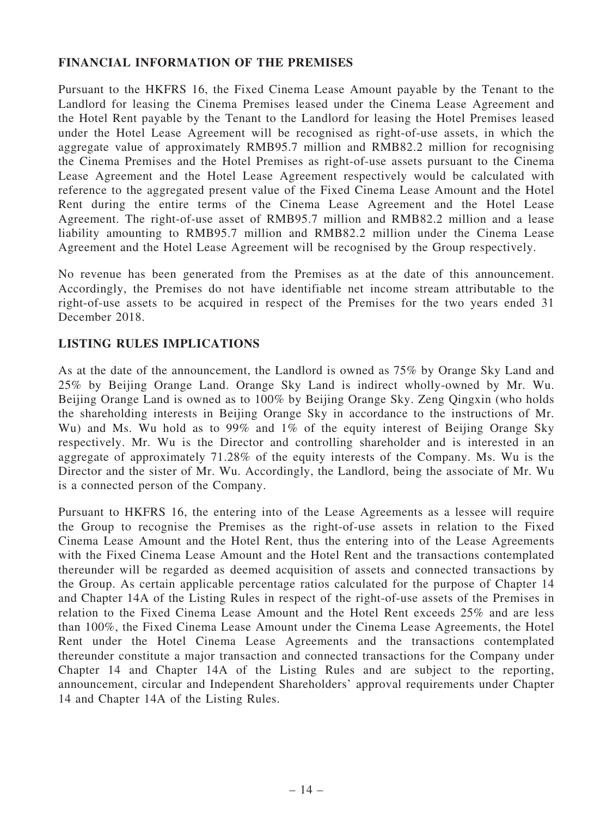## FINANCIAL INFORMATION OF THE PREMISES

Pursuant to the HKFRS 16, the Fixed Cinema Lease Amount payable by the Tenant to the Landlord for leasing the Cinema Premises leased under the Cinema Lease Agreement and the Hotel Rent payable by the Tenant to the Landlord for leasing the Hotel Premises leased under the Hotel Lease Agreement will be recognised as right-of-use assets, in which the aggregate value of approximately RMB95.7 million and RMB82.2 million for recognising the Cinema Premises and the Hotel Premises as right-of-use assets pursuant to the Cinema Lease Agreement and the Hotel Lease Agreement respectively would be calculated with reference to the aggregated present value of the Fixed Cinema Lease Amount and the Hotel Rent during the entire terms of the Cinema Lease Agreement and the Hotel Lease Agreement. The right-of-use asset of RMB95.7 million and RMB82.2 million and a lease liability amounting to RMB95.7 million and RMB82.2 million under the Cinema Lease Agreement and the Hotel Lease Agreement will be recognised by the Group respectively.

No revenue has been generated from the Premises as at the date of this announcement. Accordingly, the Premises do not have identifiable net income stream attributable to the right-of-use assets to be acquired in respect of the Premises for the two years ended 31 December 2018.

#### LISTING RULES IMPLICATIONS

As at the date of the announcement, the Landlord is owned as 75% by Orange Sky Land and 25% by Beijing Orange Land. Orange Sky Land is indirect wholly-owned by Mr. Wu. Beijing Orange Land is owned as to 100% by Beijing Orange Sky. Zeng Qingxin (who holds the shareholding interests in Beijing Orange Sky in accordance to the instructions of Mr. Wu) and Ms. Wu hold as to 99% and 1% of the equity interest of Beijing Orange Sky respectively. Mr. Wu is the Director and controlling shareholder and is interested in an aggregate of approximately 71.28% of the equity interests of the Company. Ms. Wu is the Director and the sister of Mr. Wu. Accordingly, the Landlord, being the associate of Mr. Wu is a connected person of the Company.

Pursuant to HKFRS 16, the entering into of the Lease Agreements as a lessee will require the Group to recognise the Premises as the right-of-use assets in relation to the Fixed Cinema Lease Amount and the Hotel Rent, thus the entering into of the Lease Agreements with the Fixed Cinema Lease Amount and the Hotel Rent and the transactions contemplated thereunder will be regarded as deemed acquisition of assets and connected transactions by the Group. As certain applicable percentage ratios calculated for the purpose of Chapter 14 and Chapter 14A of the Listing Rules in respect of the right-of-use assets of the Premises in relation to the Fixed Cinema Lease Amount and the Hotel Rent exceeds 25% and are less than 100%, the Fixed Cinema Lease Amount under the Cinema Lease Agreements, the Hotel Rent under the Hotel Cinema Lease Agreements and the transactions contemplated thereunder constitute a major transaction and connected transactions for the Company under Chapter 14 and Chapter 14A of the Listing Rules and are subject to the reporting, announcement, circular and Independent Shareholders' approval requirements under Chapter 14 and Chapter 14A of the Listing Rules.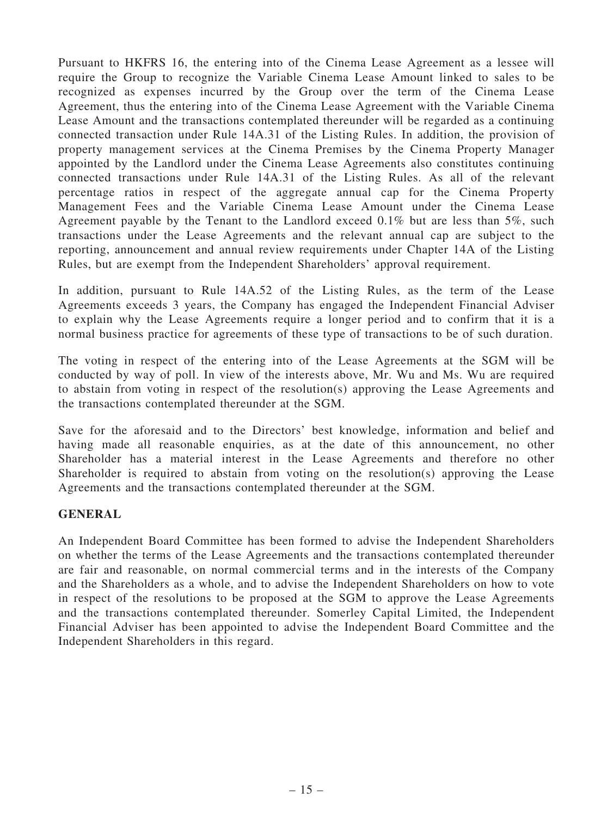Pursuant to HKFRS 16, the entering into of the Cinema Lease Agreement as a lessee will require the Group to recognize the Variable Cinema Lease Amount linked to sales to be recognized as expenses incurred by the Group over the term of the Cinema Lease Agreement, thus the entering into of the Cinema Lease Agreement with the Variable Cinema Lease Amount and the transactions contemplated thereunder will be regarded as a continuing connected transaction under Rule 14A.31 of the Listing Rules. In addition, the provision of property management services at the Cinema Premises by the Cinema Property Manager appointed by the Landlord under the Cinema Lease Agreements also constitutes continuing connected transactions under Rule 14A.31 of the Listing Rules. As all of the relevant percentage ratios in respect of the aggregate annual cap for the Cinema Property Management Fees and the Variable Cinema Lease Amount under the Cinema Lease Agreement payable by the Tenant to the Landlord exceed 0.1% but are less than 5%, such transactions under the Lease Agreements and the relevant annual cap are subject to the reporting, announcement and annual review requirements under Chapter 14A of the Listing Rules, but are exempt from the Independent Shareholders' approval requirement.

In addition, pursuant to Rule 14A.52 of the Listing Rules, as the term of the Lease Agreements exceeds 3 years, the Company has engaged the Independent Financial Adviser to explain why the Lease Agreements require a longer period and to confirm that it is a normal business practice for agreements of these type of transactions to be of such duration.

The voting in respect of the entering into of the Lease Agreements at the SGM will be conducted by way of poll. In view of the interests above, Mr. Wu and Ms. Wu are required to abstain from voting in respect of the resolution(s) approving the Lease Agreements and the transactions contemplated thereunder at the SGM.

Save for the aforesaid and to the Directors' best knowledge, information and belief and having made all reasonable enquiries, as at the date of this announcement, no other Shareholder has a material interest in the Lease Agreements and therefore no other Shareholder is required to abstain from voting on the resolution(s) approving the Lease Agreements and the transactions contemplated thereunder at the SGM.

## GENERAL

An Independent Board Committee has been formed to advise the Independent Shareholders on whether the terms of the Lease Agreements and the transactions contemplated thereunder are fair and reasonable, on normal commercial terms and in the interests of the Company and the Shareholders as a whole, and to advise the Independent Shareholders on how to vote in respect of the resolutions to be proposed at the SGM to approve the Lease Agreements and the transactions contemplated thereunder. Somerley Capital Limited, the Independent Financial Adviser has been appointed to advise the Independent Board Committee and the Independent Shareholders in this regard.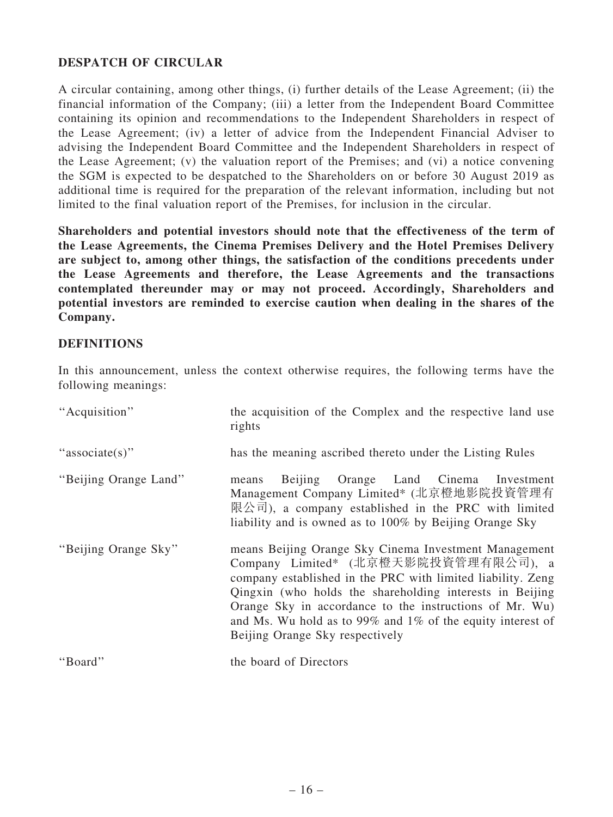## DESPATCH OF CIRCULAR

A circular containing, among other things, (i) further details of the Lease Agreement; (ii) the financial information of the Company; (iii) a letter from the Independent Board Committee containing its opinion and recommendations to the Independent Shareholders in respect of the Lease Agreement; (iv) a letter of advice from the Independent Financial Adviser to advising the Independent Board Committee and the Independent Shareholders in respect of the Lease Agreement; (v) the valuation report of the Premises; and (vi) a notice convening the SGM is expected to be despatched to the Shareholders on or before 30 August 2019 as additional time is required for the preparation of the relevant information, including but not limited to the final valuation report of the Premises, for inclusion in the circular.

Shareholders and potential investors should note that the effectiveness of the term of the Lease Agreements, the Cinema Premises Delivery and the Hotel Premises Delivery are subject to, among other things, the satisfaction of the conditions precedents under the Lease Agreements and therefore, the Lease Agreements and the transactions contemplated thereunder may or may not proceed. Accordingly, Shareholders and potential investors are reminded to exercise caution when dealing in the shares of the Company.

#### **DEFINITIONS**

In this announcement, unless the context otherwise requires, the following terms have the following meanings:

| "Acquisition"         | the acquisition of the Complex and the respective land use<br>rights                                                                                                                                                                                                                                                                                                                    |
|-----------------------|-----------------------------------------------------------------------------------------------------------------------------------------------------------------------------------------------------------------------------------------------------------------------------------------------------------------------------------------------------------------------------------------|
| "associate(s)"        | has the meaning ascribed thereto under the Listing Rules                                                                                                                                                                                                                                                                                                                                |
| "Beijing Orange Land" | Orange Land Cinema Investment<br>Beijing<br>means<br>Management Company Limited* (北京橙地影院投資管理有<br>限公司), a company established in the PRC with limited<br>liability and is owned as to 100% by Beijing Orange Sky                                                                                                                                                                         |
| "Beijing Orange Sky"  | means Beijing Orange Sky Cinema Investment Management<br>Company Limited* (北京橙天影院投資管理有限公司), a<br>company established in the PRC with limited liability. Zeng<br>Qingxin (who holds the shareholding interests in Beijing<br>Orange Sky in accordance to the instructions of Mr. Wu)<br>and Ms. Wu hold as to 99% and $1\%$ of the equity interest of<br>Beijing Orange Sky respectively |
| "Board"               | the board of Directors                                                                                                                                                                                                                                                                                                                                                                  |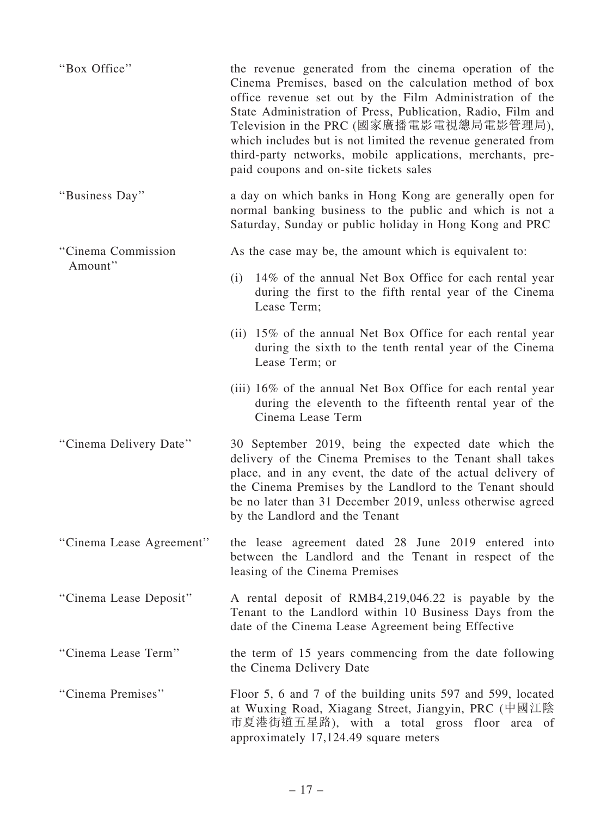| "Box Office"             | the revenue generated from the cinema operation of the<br>Cinema Premises, based on the calculation method of box<br>office revenue set out by the Film Administration of the<br>State Administration of Press, Publication, Radio, Film and<br>Television in the PRC (國家廣播電影電視總局電影管理局),<br>which includes but is not limited the revenue generated from<br>third-party networks, mobile applications, merchants, pre-<br>paid coupons and on-site tickets sales |
|--------------------------|------------------------------------------------------------------------------------------------------------------------------------------------------------------------------------------------------------------------------------------------------------------------------------------------------------------------------------------------------------------------------------------------------------------------------------------------------------------|
| "Business Day"           | a day on which banks in Hong Kong are generally open for<br>normal banking business to the public and which is not a<br>Saturday, Sunday or public holiday in Hong Kong and PRC                                                                                                                                                                                                                                                                                  |
| "Cinema Commission       | As the case may be, the amount which is equivalent to:                                                                                                                                                                                                                                                                                                                                                                                                           |
| Amount"                  | (i) 14% of the annual Net Box Office for each rental year<br>during the first to the fifth rental year of the Cinema<br>Lease Term;                                                                                                                                                                                                                                                                                                                              |
|                          | (ii) 15% of the annual Net Box Office for each rental year<br>during the sixth to the tenth rental year of the Cinema<br>Lease Term; or                                                                                                                                                                                                                                                                                                                          |
|                          | (iii) 16% of the annual Net Box Office for each rental year<br>during the eleventh to the fifteenth rental year of the<br>Cinema Lease Term                                                                                                                                                                                                                                                                                                                      |
| "Cinema Delivery Date"   | 30 September 2019, being the expected date which the<br>delivery of the Cinema Premises to the Tenant shall takes<br>place, and in any event, the date of the actual delivery of<br>the Cinema Premises by the Landlord to the Tenant should<br>be no later than 31 December 2019, unless otherwise agreed<br>by the Landlord and the Tenant                                                                                                                     |
| "Cinema Lease Agreement" | the lease agreement dated 28 June 2019 entered into<br>between the Landlord and the Tenant in respect of the<br>leasing of the Cinema Premises                                                                                                                                                                                                                                                                                                                   |
| "Cinema Lease Deposit"   | A rental deposit of RMB4,219,046.22 is payable by the<br>Tenant to the Landlord within 10 Business Days from the<br>date of the Cinema Lease Agreement being Effective                                                                                                                                                                                                                                                                                           |
| "Cinema Lease Term"      | the term of 15 years commencing from the date following<br>the Cinema Delivery Date                                                                                                                                                                                                                                                                                                                                                                              |
| "Cinema Premises"        | Floor 5, 6 and 7 of the building units 597 and 599, located<br>at Wuxing Road, Xiagang Street, Jiangyin, PRC (中國江陰<br>市夏港街道五星路), with a total gross floor area of<br>approximately 17,124.49 square meters                                                                                                                                                                                                                                                       |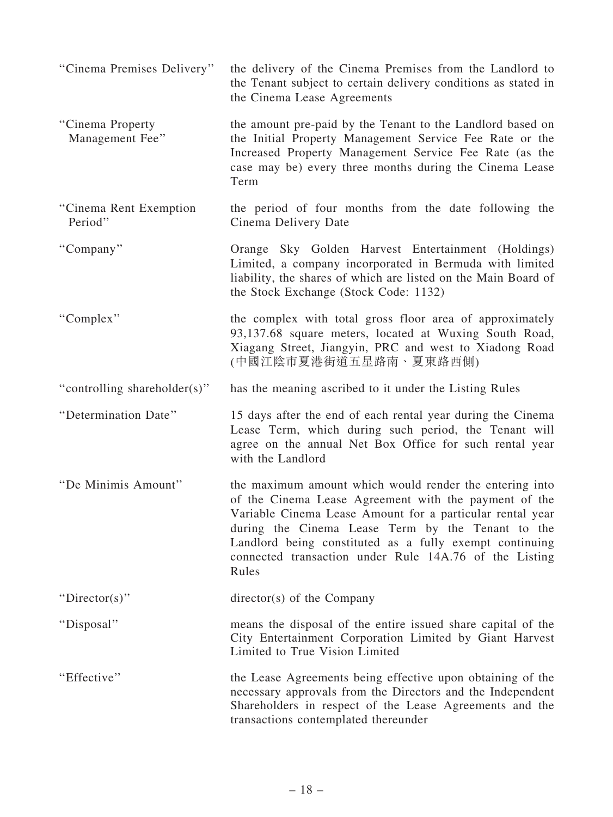| "Cinema Premises Delivery"          | the delivery of the Cinema Premises from the Landlord to<br>the Tenant subject to certain delivery conditions as stated in<br>the Cinema Lease Agreements                                                                                                                                                                                                        |
|-------------------------------------|------------------------------------------------------------------------------------------------------------------------------------------------------------------------------------------------------------------------------------------------------------------------------------------------------------------------------------------------------------------|
| "Cinema Property<br>Management Fee" | the amount pre-paid by the Tenant to the Landlord based on<br>the Initial Property Management Service Fee Rate or the<br>Increased Property Management Service Fee Rate (as the<br>case may be) every three months during the Cinema Lease<br>Term                                                                                                               |
| "Cinema Rent Exemption"<br>Period"  | the period of four months from the date following the<br>Cinema Delivery Date                                                                                                                                                                                                                                                                                    |
| "Company"                           | Orange Sky Golden Harvest Entertainment (Holdings)<br>Limited, a company incorporated in Bermuda with limited<br>liability, the shares of which are listed on the Main Board of<br>the Stock Exchange (Stock Code: 1132)                                                                                                                                         |
| "Complex"                           | the complex with total gross floor area of approximately<br>93,137.68 square meters, located at Wuxing South Road,<br>Xiagang Street, Jiangyin, PRC and west to Xiadong Road<br>(中國江陰市夏港街道五星路南、夏東路西側)                                                                                                                                                            |
| "controlling shareholder(s)"        | has the meaning ascribed to it under the Listing Rules                                                                                                                                                                                                                                                                                                           |
| "Determination Date"                | 15 days after the end of each rental year during the Cinema<br>Lease Term, which during such period, the Tenant will<br>agree on the annual Net Box Office for such rental year<br>with the Landlord                                                                                                                                                             |
| "De Minimis Amount"                 | the maximum amount which would render the entering into<br>of the Cinema Lease Agreement with the payment of the<br>Variable Cinema Lease Amount for a particular rental year<br>during the Cinema Lease Term by the Tenant to the<br>Landlord being constituted as a fully exempt continuing<br>connected transaction under Rule 14A.76 of the Listing<br>Rules |
| "Director(s)"                       | director(s) of the Company                                                                                                                                                                                                                                                                                                                                       |
| "Disposal"                          | means the disposal of the entire issued share capital of the<br>City Entertainment Corporation Limited by Giant Harvest<br>Limited to True Vision Limited                                                                                                                                                                                                        |
| "Effective"                         | the Lease Agreements being effective upon obtaining of the<br>necessary approvals from the Directors and the Independent<br>Shareholders in respect of the Lease Agreements and the<br>transactions contemplated thereunder                                                                                                                                      |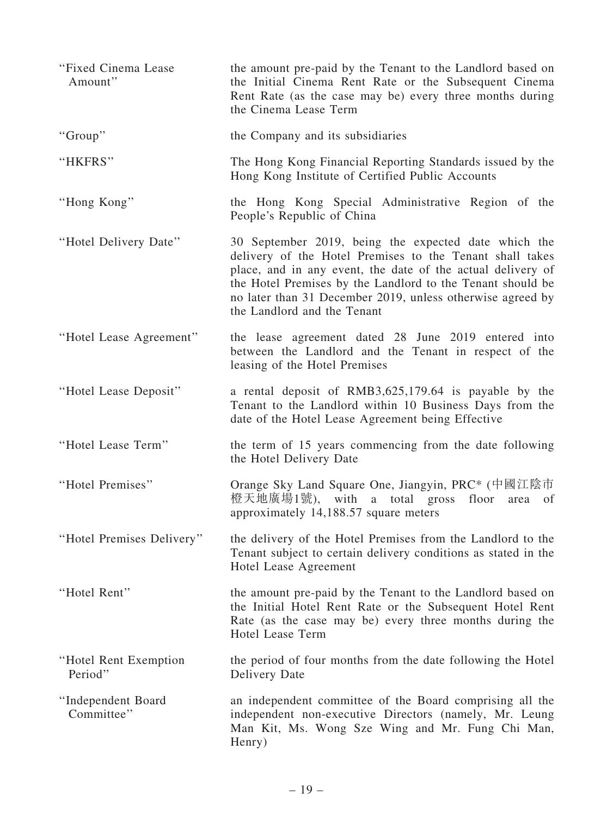| "Fixed Cinema Lease<br>Amount"    | the amount pre-paid by the Tenant to the Landlord based on<br>the Initial Cinema Rent Rate or the Subsequent Cinema<br>Rent Rate (as the case may be) every three months during<br>the Cinema Lease Term                                                                                                                                   |
|-----------------------------------|--------------------------------------------------------------------------------------------------------------------------------------------------------------------------------------------------------------------------------------------------------------------------------------------------------------------------------------------|
| "Group"                           | the Company and its subsidiaries                                                                                                                                                                                                                                                                                                           |
| "HKFRS"                           | The Hong Kong Financial Reporting Standards issued by the<br>Hong Kong Institute of Certified Public Accounts                                                                                                                                                                                                                              |
| "Hong Kong"                       | the Hong Kong Special Administrative Region of the<br>People's Republic of China                                                                                                                                                                                                                                                           |
| "Hotel Delivery Date"             | 30 September 2019, being the expected date which the<br>delivery of the Hotel Premises to the Tenant shall takes<br>place, and in any event, the date of the actual delivery of<br>the Hotel Premises by the Landlord to the Tenant should be<br>no later than 31 December 2019, unless otherwise agreed by<br>the Landlord and the Tenant |
| "Hotel Lease Agreement"           | the lease agreement dated 28 June 2019 entered into<br>between the Landlord and the Tenant in respect of the<br>leasing of the Hotel Premises                                                                                                                                                                                              |
| "Hotel Lease Deposit"             | a rental deposit of RMB3,625,179.64 is payable by the<br>Tenant to the Landlord within 10 Business Days from the<br>date of the Hotel Lease Agreement being Effective                                                                                                                                                                      |
| "Hotel Lease Term"                | the term of 15 years commencing from the date following<br>the Hotel Delivery Date                                                                                                                                                                                                                                                         |
| "Hotel Premises"                  | Orange Sky Land Square One, Jiangyin, PRC <sup>*</sup> (中國江陰市<br>橙天地廣場1號), with a total gross<br>floor<br>area<br>of<br>approximately 14,188.57 square meters                                                                                                                                                                              |
| "Hotel Premises Delivery"         | the delivery of the Hotel Premises from the Landlord to the<br>Tenant subject to certain delivery conditions as stated in the<br>Hotel Lease Agreement                                                                                                                                                                                     |
| "Hotel Rent"                      | the amount pre-paid by the Tenant to the Landlord based on<br>the Initial Hotel Rent Rate or the Subsequent Hotel Rent<br>Rate (as the case may be) every three months during the<br><b>Hotel Lease Term</b>                                                                                                                               |
| "Hotel Rent Exemption"<br>Period" | the period of four months from the date following the Hotel<br>Delivery Date                                                                                                                                                                                                                                                               |
| "Independent Board<br>Committee"  | an independent committee of the Board comprising all the<br>independent non-executive Directors (namely, Mr. Leung<br>Man Kit, Ms. Wong Sze Wing and Mr. Fung Chi Man,<br>Henry)                                                                                                                                                           |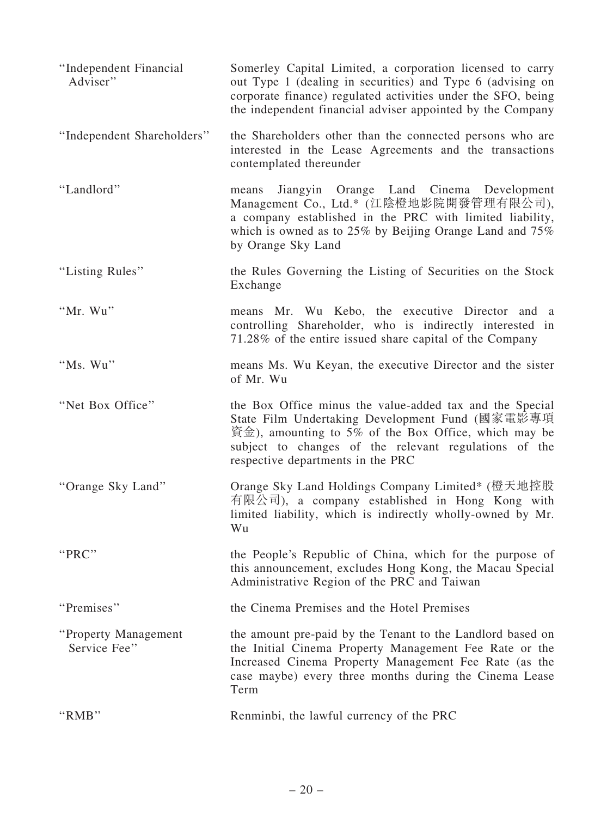| "Independent Financial<br>Adviser"    | Somerley Capital Limited, a corporation licensed to carry<br>out Type 1 (dealing in securities) and Type 6 (advising on<br>corporate finance) regulated activities under the SFO, being<br>the independent financial adviser appointed by the Company                                                   |
|---------------------------------------|---------------------------------------------------------------------------------------------------------------------------------------------------------------------------------------------------------------------------------------------------------------------------------------------------------|
| "Independent Shareholders"            | the Shareholders other than the connected persons who are<br>interested in the Lease Agreements and the transactions<br>contemplated thereunder                                                                                                                                                         |
| "Landlord"                            | Jiangyin Orange Land Cinema Development<br>means<br>Management Co., Ltd.* (江陰橙地影院開發管理有限公司),<br>a company established in the PRC with limited liability,<br>which is owned as to $25\%$ by Beijing Orange Land and $75\%$<br>by Orange Sky Land                                                          |
| "Listing Rules"                       | the Rules Governing the Listing of Securities on the Stock<br>Exchange                                                                                                                                                                                                                                  |
| "Mr. Wu"                              | means Mr. Wu Kebo, the executive Director and a<br>controlling Shareholder, who is indirectly interested in<br>71.28% of the entire issued share capital of the Company                                                                                                                                 |
| "Ms. Wu"                              | means Ms. Wu Keyan, the executive Director and the sister<br>of Mr. Wu                                                                                                                                                                                                                                  |
| "Net Box Office"                      | the Box Office minus the value-added tax and the Special<br>State Film Undertaking Development Fund (國家電影專項<br>$\hat{\mathfrak{g}}(\hat{\mathfrak{X}})$ , amounting to 5% of the Box Office, which may be<br>subject to changes of the relevant regulations of the<br>respective departments in the PRC |
| "Orange Sky Land"                     | Orange Sky Land Holdings Company Limited* (橙天地控股<br>有限公司), a company established in Hong Kong with<br>limited liability, which is indirectly wholly-owned by Mr.<br>Wu                                                                                                                                  |
| "PRC"                                 | the People's Republic of China, which for the purpose of<br>this announcement, excludes Hong Kong, the Macau Special<br>Administrative Region of the PRC and Taiwan                                                                                                                                     |
| "Premises"                            | the Cinema Premises and the Hotel Premises                                                                                                                                                                                                                                                              |
| "Property Management"<br>Service Fee" | the amount pre-paid by the Tenant to the Landlord based on<br>the Initial Cinema Property Management Fee Rate or the<br>Increased Cinema Property Management Fee Rate (as the<br>case maybe) every three months during the Cinema Lease<br>Term                                                         |
| "RMB"                                 | Renminbi, the lawful currency of the PRC                                                                                                                                                                                                                                                                |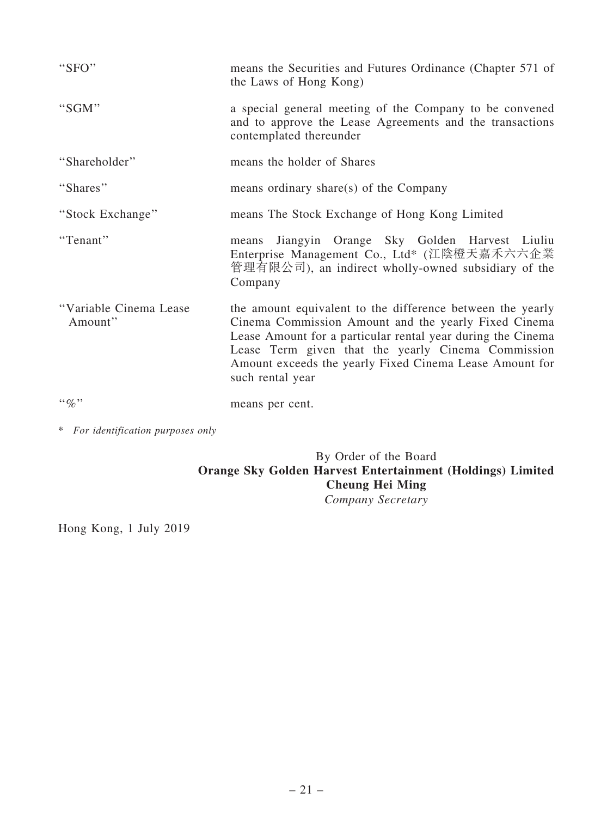| "SFO"                              | means the Securities and Futures Ordinance (Chapter 571 of<br>the Laws of Hong Kong)                                                                                                                                                                                                                                   |
|------------------------------------|------------------------------------------------------------------------------------------------------------------------------------------------------------------------------------------------------------------------------------------------------------------------------------------------------------------------|
| "SGM"                              | a special general meeting of the Company to be convened<br>and to approve the Lease Agreements and the transactions<br>contemplated thereunder                                                                                                                                                                         |
| "Shareholder"                      | means the holder of Shares                                                                                                                                                                                                                                                                                             |
| "Shares"                           | means ordinary share(s) of the Company                                                                                                                                                                                                                                                                                 |
| "Stock Exchange"                   | means The Stock Exchange of Hong Kong Limited                                                                                                                                                                                                                                                                          |
| "Tenant"                           | Jiangyin Orange Sky Golden Harvest Liuliu<br>means<br>Enterprise Management Co., Ltd* (江陰橙天嘉禾六六企業<br>管理有限公司), an indirect wholly-owned subsidiary of the<br>Company                                                                                                                                                    |
| "Variable Cinema Lease<br>Amount"  | the amount equivalent to the difference between the yearly<br>Cinema Commission Amount and the yearly Fixed Cinema<br>Lease Amount for a particular rental year during the Cinema<br>Lease Term given that the yearly Cinema Commission<br>Amount exceeds the yearly Fixed Cinema Lease Amount for<br>such rental year |
| $\cdot \cdot \phi$                 | means per cent.                                                                                                                                                                                                                                                                                                        |
| * For identification purposes only |                                                                                                                                                                                                                                                                                                                        |

## By Order of the Board Orange Sky Golden Harvest Entertainment (Holdings) Limited Cheung Hei Ming *Company Secretary*

Hong Kong, 1 July 2019